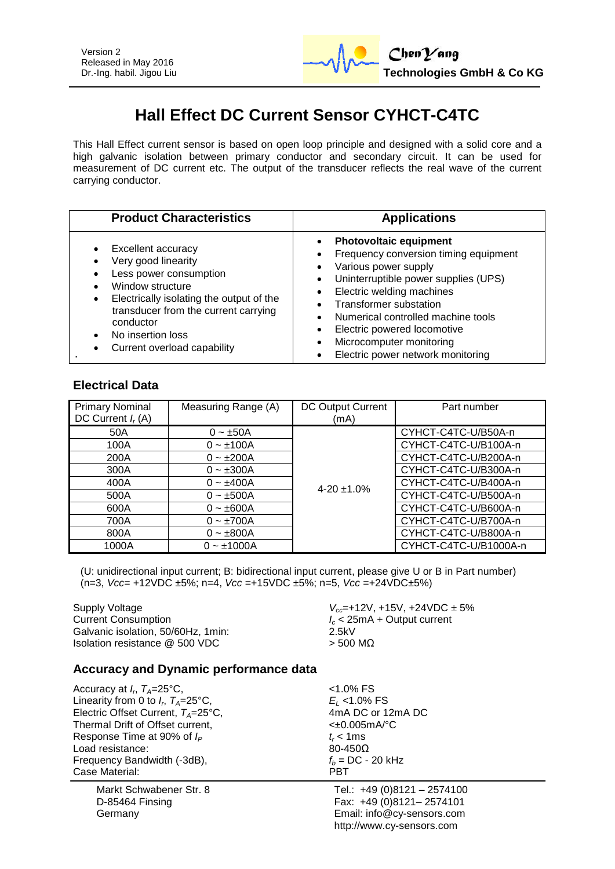

# **Hall Effect DC Current Sensor CYHCT-C4TC**

This Hall Effect current sensor is based on open loop principle and designed with a solid core and a high galvanic isolation between primary conductor and secondary circuit. It can be used for measurement of DC current etc. The output of the transducer reflects the real wave of the current carrying conductor.

| <b>Product Characteristics</b>                                                                                                                                                                                                                                                                        | <b>Applications</b>                                                                                                                                                                                                                                                                                                                                           |
|-------------------------------------------------------------------------------------------------------------------------------------------------------------------------------------------------------------------------------------------------------------------------------------------------------|---------------------------------------------------------------------------------------------------------------------------------------------------------------------------------------------------------------------------------------------------------------------------------------------------------------------------------------------------------------|
| Excellent accuracy<br>$\bullet$<br>Very good linearity<br>٠<br>Less power consumption<br>Window structure<br>Electrically isolating the output of the<br>$\bullet$<br>transducer from the current carrying<br>conductor<br>No insertion loss<br>$\bullet$<br>Current overload capability<br>$\bullet$ | <b>Photovoltaic equipment</b><br>$\bullet$<br>Frequency conversion timing equipment<br>Various power supply<br>Uninterruptible power supplies (UPS)<br>Electric welding machines<br>Transformer substation<br>Numerical controlled machine tools<br>Electric powered locomotive<br>Microcomputer monitoring<br>$\bullet$<br>Electric power network monitoring |

### **Electrical Data**

| <b>Primary Nominal</b><br>DC Current $I_r(A)$ | Measuring Range (A) | DC Output Current<br>(mA) | Part number           |
|-----------------------------------------------|---------------------|---------------------------|-----------------------|
|                                               |                     |                           |                       |
| 50A                                           | $0 - \pm 50A$       |                           | CYHCT-C4TC-U/B50A-n   |
| 100A                                          | $0 - \pm 100A$      |                           | CYHCT-C4TC-U/B100A-n  |
| 200A                                          | $0 - \pm 200A$      |                           | CYHCT-C4TC-U/B200A-n  |
| 300A                                          | $0 - \pm 300A$      |                           | CYHCT-C4TC-U/B300A-n  |
| 400A                                          | $0 - \pm 400A$      | $4-20 \pm 1.0\%$          | CYHCT-C4TC-U/B400A-n  |
| 500A                                          | $0 - \pm 500A$      |                           | CYHCT-C4TC-U/B500A-n  |
| 600A                                          | $0 - \pm 600A$      |                           | CYHCT-C4TC-U/B600A-n  |
| 700A                                          | $0 - \pm 700A$      |                           | CYHCT-C4TC-U/B700A-n  |
| 800A                                          | $0 - \pm 800A$      |                           | CYHCT-C4TC-U/B800A-n  |
| 1000A                                         | $0 - \pm 1000A$     |                           | CYHCT-C4TC-U/B1000A-n |

(U: unidirectional input current; B: bidirectional input current, please give U or B in Part number) (n=3, *Vcc*= +12VDC ±5%; n=4, *Vcc* =+15VDC ±5%; n=5, *Vcc* =+24VDC±5%)

Galvanic isolation, 50/60Hz, 1min: 2.5kV Isolation resistance  $@$  500 VDC  $>$  500 MΩ

Supply Voltage *V*<sub>cc</sub>=+12V, +15V, +24VDC  $\pm$  5%<br>Current Consumption **60. The Supplement of the Supplement**  $I_c$  < 25mA + Output current Current Consumption *I<sup>c</sup>* < 25mA + Output current

### **Accuracy and Dynamic performance data**

Accuracy at  $I_r$ ,  $T_A$ =25°C,  $\hspace{1.6cm}$   $\hspace{1.6cm}$   $\hspace{1.6cm}$   $\hspace{1.6cm}$   $\hspace{1.6cm}$   $\hspace{1.6cm}$   $\hspace{1.6cm}$   $\hspace{1.6cm}$   $\hspace{1.6cm}$   $\hspace{1.6cm}$   $\hspace{1.6cm}$   $\hspace{1.6cm}$   $\hspace{1.6cm}$   $\hspace{1.6cm}$   $\hspace{1.6cm}$   $\hspace{1.6cm}$  Linearity from 0 to  $I_r$ ,  $T_A = 25^\circ \text{C}$ , Electric Offset Current, *T<sub>A</sub>*=25°C, 4mA DC or 12mA DC<br>Thermal Drift of Offset current. <br>All the studies of the studies of the studies of the studies of the studies of the studies of the studies of the studies of the stud Thermal Drift of Offset current, Response Time at 90% of  $I_P$   $t_r < 1 \text{ms}$ <br>Load resistance:  $80-450\Omega$ Load resistance:  $80-450\Omega$ <br>Frequency Bandwidth (-3dB),  $f_h = DC - 20 \text{ kHz}$ Frequency Bandwidth (-3dB),  $f_b = 0$ <br>Case Material: **PBT** Case Material:

Markt Schwabener Str. 8 D-85464 Finsing Germany

, *TA*=25°C, *E<sup>L</sup>* <1.0% FS

Tel.: +49 (0)8121 – 2574100 Fax: +49 (0)8121– 2574101 Email: info@cy-sensors.com http://www.cy-sensors.com